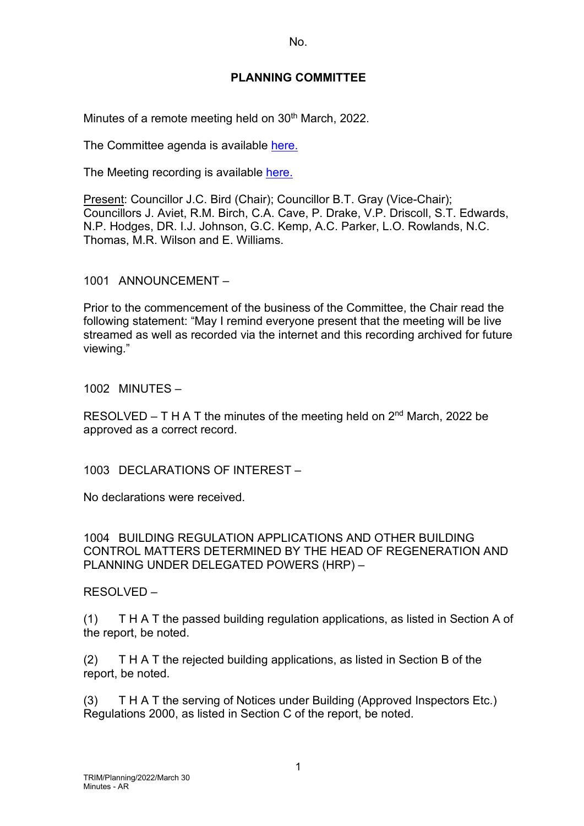No.

## **PLANNING COMMITTEE**

Minutes of a remote meeting held on 30<sup>th</sup> March, 2022.

The Committee agenda is available [here.](https://www.valeofglamorgan.gov.uk/en/our_council/Council-Structure/minutes,_agendas_and_reports/agendas/planning/2022/22-03-30.aspx)

The Meeting recording is available [here.](https://www.youtube.com/watch?v=D3xATuI2998&list=PLzt4i14pgqIEYTpGwpnqhxqyIIskR95ke&index=1)

Present: Councillor J.C. Bird (Chair); Councillor B.T. Gray (Vice-Chair); Councillors J. Aviet, R.M. Birch, C.A. Cave, P. Drake, V.P. Driscoll, S.T. Edwards, N.P. Hodges, DR. I.J. Johnson, G.C. Kemp, A.C. Parker, L.O. Rowlands, N.C. Thomas, M.R. Wilson and E. Williams.

1001 ANNOUNCEMENT –

Prior to the commencement of the business of the Committee, the Chair read the following statement: "May I remind everyone present that the meeting will be live streamed as well as recorded via the internet and this recording archived for future viewing."

1002 MINUTES –

RESOLVED – T H A T the minutes of the meeting held on  $2<sup>nd</sup>$  March, 2022 be approved as a correct record.

1003 DECLARATIONS OF INTEREST –

No declarations were received.

1004 BUILDING REGULATION APPLICATIONS AND OTHER BUILDING CONTROL MATTERS DETERMINED BY THE HEAD OF REGENERATION AND PLANNING UNDER DELEGATED POWERS (HRP) –

RESOLVED –

(1) T H A T the passed building regulation applications, as listed in Section A of the report, be noted.

(2) T H A T the rejected building applications, as listed in Section B of the report, be noted.

(3) T H A T the serving of Notices under Building (Approved Inspectors Etc.) Regulations 2000, as listed in Section C of the report, be noted.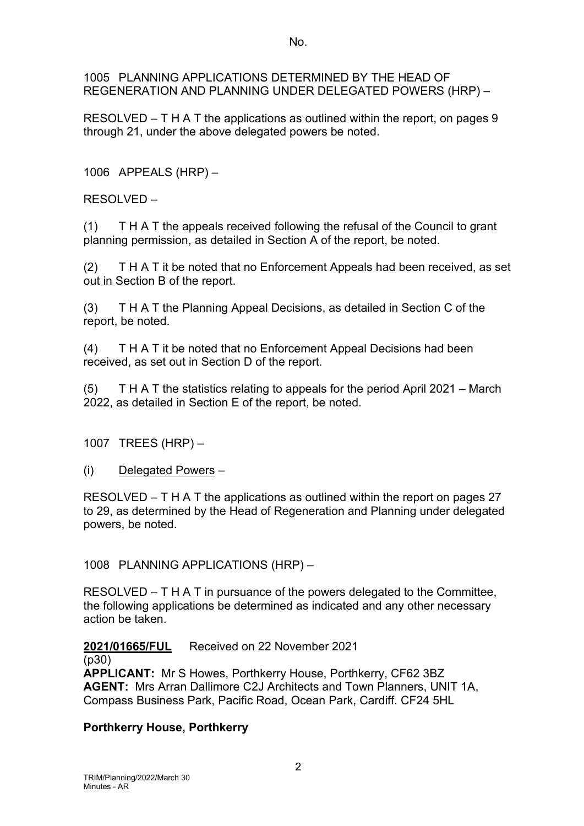No.

1005 PLANNING APPLICATIONS DETERMINED BY THE HEAD OF REGENERATION AND PLANNING UNDER DELEGATED POWERS (HRP) –

RESOLVED – T H A T the applications as outlined within the report, on pages 9 through 21, under the above delegated powers be noted.

1006 APPEALS (HRP) –

RESOLVED –

(1) T H A T the appeals received following the refusal of the Council to grant planning permission, as detailed in Section A of the report, be noted.

(2) T H A T it be noted that no Enforcement Appeals had been received, as set out in Section B of the report.

(3) T H A T the Planning Appeal Decisions, as detailed in Section C of the report, be noted.

(4) T H A T it be noted that no Enforcement Appeal Decisions had been received, as set out in Section D of the report.

(5) T H A T the statistics relating to appeals for the period April 2021 – March 2022, as detailed in Section E of the report, be noted.

1007 TREES (HRP) –

(i) Delegated Powers –

RESOLVED – T H A T the applications as outlined within the report on pages 27 to 29, as determined by the Head of Regeneration and Planning under delegated powers, be noted.

1008 PLANNING APPLICATIONS (HRP) –

RESOLVED – T H A T in pursuance of the powers delegated to the Committee, the following applications be determined as indicated and any other necessary action be taken.

**2021/01665/FUL** Received on 22 November 2021

(p30)

**APPLICANT:** Mr S Howes, Porthkerry House, Porthkerry, CF62 3BZ **AGENT:** Mrs Arran Dallimore C2J Architects and Town Planners, UNIT 1A, Compass Business Park, Pacific Road, Ocean Park, Cardiff. CF24 5HL

# **Porthkerry House, Porthkerry**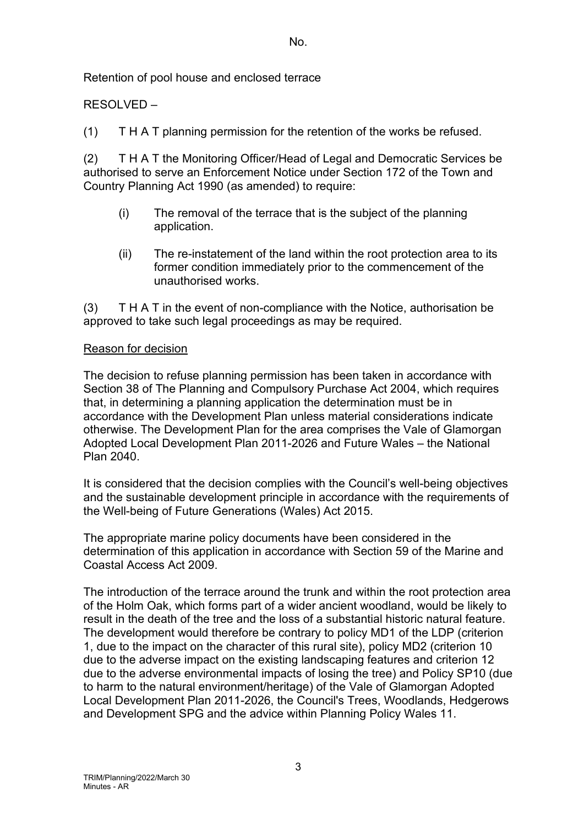No.

Retention of pool house and enclosed terrace

## RESOLVED –

(1) T H A T planning permission for the retention of the works be refused.

(2) T H A T the Monitoring Officer/Head of Legal and Democratic Services be authorised to serve an Enforcement Notice under Section 172 of the Town and Country Planning Act 1990 (as amended) to require:

- (i) The removal of the terrace that is the subject of the planning application.
- (ii) The re-instatement of the land within the root protection area to its former condition immediately prior to the commencement of the unauthorised works.

(3) T H A T in the event of non-compliance with the Notice, authorisation be approved to take such legal proceedings as may be required.

#### Reason for decision

The decision to refuse planning permission has been taken in accordance with Section 38 of The Planning and Compulsory Purchase Act 2004, which requires that, in determining a planning application the determination must be in accordance with the Development Plan unless material considerations indicate otherwise. The Development Plan for the area comprises the Vale of Glamorgan Adopted Local Development Plan 2011-2026 and Future Wales – the National Plan 2040.

It is considered that the decision complies with the Council's well-being objectives and the sustainable development principle in accordance with the requirements of the Well-being of Future Generations (Wales) Act 2015.

The appropriate marine policy documents have been considered in the determination of this application in accordance with Section 59 of the Marine and Coastal Access Act 2009.

The introduction of the terrace around the trunk and within the root protection area of the Holm Oak, which forms part of a wider ancient woodland, would be likely to result in the death of the tree and the loss of a substantial historic natural feature. The development would therefore be contrary to policy MD1 of the LDP (criterion 1, due to the impact on the character of this rural site), policy MD2 (criterion 10 due to the adverse impact on the existing landscaping features and criterion 12 due to the adverse environmental impacts of losing the tree) and Policy SP10 (due to harm to the natural environment/heritage) of the Vale of Glamorgan Adopted Local Development Plan 2011-2026, the Council's Trees, Woodlands, Hedgerows and Development SPG and the advice within Planning Policy Wales 11.